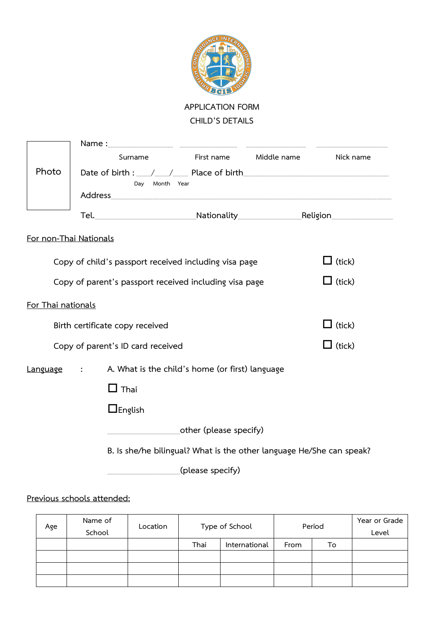

**APPLICATION FORM CHILD'S DETAILS**

|                                                                         |                                                                      | Surname                                                                                                         | First name | Middle name   | Nick name |  |  |
|-------------------------------------------------------------------------|----------------------------------------------------------------------|-----------------------------------------------------------------------------------------------------------------|------------|---------------|-----------|--|--|
| Photo                                                                   | Date of birth : Allen Manual Place of birth<br>Day Month Year        |                                                                                                                 |            |               |           |  |  |
|                                                                         |                                                                      | Tel. 1990 - 1990 - 1990 - 1991 - 1991 - 1992 - 1992 - 1993 - 1994 - 1994 - 1994 - 1994 - 1994 - 1994 - 1995 - 1 |            |               |           |  |  |
|                                                                         |                                                                      |                                                                                                                 |            |               |           |  |  |
| For non-Thai Nationals                                                  |                                                                      |                                                                                                                 |            |               |           |  |  |
| $\Box$ (tick)<br>Copy of child's passport received including visa page  |                                                                      |                                                                                                                 |            |               |           |  |  |
| $\Box$ (tick)<br>Copy of parent's passport received including visa page |                                                                      |                                                                                                                 |            |               |           |  |  |
| For Thai nationals                                                      |                                                                      |                                                                                                                 |            |               |           |  |  |
| $\Box$ (tick)<br>Birth certificate copy received                        |                                                                      |                                                                                                                 |            |               |           |  |  |
| Copy of parent's ID card received                                       |                                                                      |                                                                                                                 |            | $\Box$ (tick) |           |  |  |
| Language                                                                | A. What is the child's home (or first) language                      |                                                                                                                 |            |               |           |  |  |
|                                                                         |                                                                      | $\Box$ Thai                                                                                                     |            |               |           |  |  |
|                                                                         |                                                                      | $\Box$ English                                                                                                  |            |               |           |  |  |
| cther (please specify)                                                  |                                                                      |                                                                                                                 |            |               |           |  |  |
|                                                                         | B. Is she/he bilingual? What is the other language He/She can speak? |                                                                                                                 |            |               |           |  |  |
|                                                                         |                                                                      |                                                                                                                 |            |               |           |  |  |

# **Previous schools attended:**

| Age | Name of<br>School | Location | Type of School |               | Period |    | Year or Grade<br>Level |
|-----|-------------------|----------|----------------|---------------|--------|----|------------------------|
|     |                   |          | Thai           | International | From   | To |                        |
|     |                   |          |                |               |        |    |                        |
|     |                   |          |                |               |        |    |                        |
|     |                   |          |                |               |        |    |                        |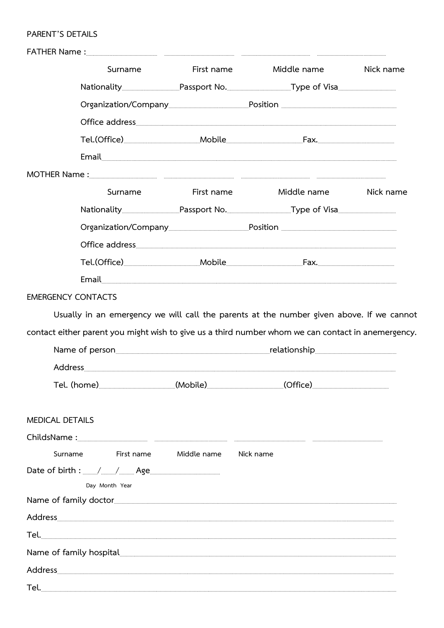#### PARENT'S DETAILS

|                           | Surname                                                                                                                                                                                                                        | First name  |           | Middle name | Nick name |
|---------------------------|--------------------------------------------------------------------------------------------------------------------------------------------------------------------------------------------------------------------------------|-------------|-----------|-------------|-----------|
|                           | Nationality [11] Passport No. [11] Dassmanner Controller Chisa [13] Danim Danim Dassmann Passport No. [13] Danim Danim Danim Danim Danim Danim Danim Danim Danim Danim Danim Danim Danim Danim Danim Danim Danim Danim Danim D |             |           |             |           |
|                           |                                                                                                                                                                                                                                |             |           |             |           |
|                           | Office address experiments and the contract of the contract of the contract of the contract of the contract of                                                                                                                 |             |           |             |           |
|                           |                                                                                                                                                                                                                                |             |           |             |           |
|                           | Email                                                                                                                                                                                                                          |             |           |             |           |
|                           | MOTHER Name : www.communication.com/www.communication.com/www.communication.com/www.communication.com/www.communication.com/www.communication.com/www.communication.com/www.communication.com/www.communication.com/www.commun |             |           |             |           |
|                           | Surname                                                                                                                                                                                                                        | First name  |           | Middle name | Nick name |
|                           | Nationality Passport No. Type of Visa                                                                                                                                                                                          |             |           |             |           |
|                           |                                                                                                                                                                                                                                |             |           |             |           |
|                           |                                                                                                                                                                                                                                |             |           |             |           |
|                           |                                                                                                                                                                                                                                |             |           |             |           |
|                           |                                                                                                                                                                                                                                |             |           |             |           |
| <b>EMERGENCY CONTACTS</b> |                                                                                                                                                                                                                                |             |           |             |           |
|                           | contact either parent you might wish to give us a third number whom we can contact in anemergency.                                                                                                                             |             |           |             |           |
|                           |                                                                                                                                                                                                                                |             |           |             |           |
| <b>MEDICAL DETAILS</b>    |                                                                                                                                                                                                                                |             |           |             |           |
|                           |                                                                                                                                                                                                                                |             |           |             |           |
| Surname                   | First name                                                                                                                                                                                                                     | Middle name | Nick name |             |           |
|                           |                                                                                                                                                                                                                                |             |           |             |           |
|                           | Day Month Year                                                                                                                                                                                                                 |             |           |             |           |
|                           | Name of family doctor                                                                                                                                                                                                          |             |           |             |           |
|                           | Address                                                                                                                                                                                                                        |             |           |             |           |
|                           |                                                                                                                                                                                                                                |             |           |             |           |
|                           | Name of family hospital                                                                                                                                                                                                        |             |           |             |           |
|                           | Address                                                                                                                                                                                                                        |             |           |             |           |
| Tel.                      |                                                                                                                                                                                                                                |             |           |             |           |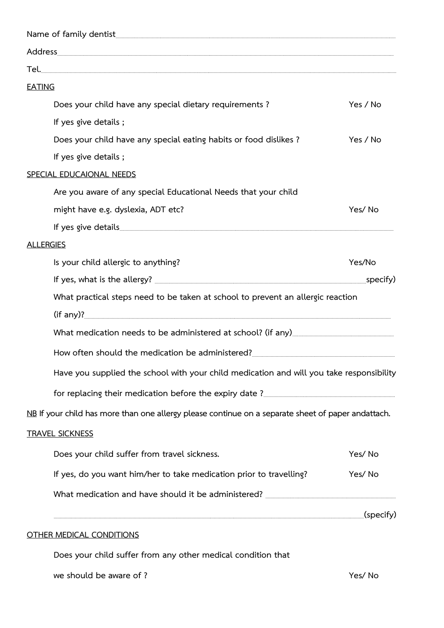| Name of family dentist <u>www.warrantiescommunications of tamilians and the set of tamiliar and the set of tamiliar and the set of tamiliar and the set of tamiliar and the set of tamiliar and the set of tamiliar and the set </u> |                       |  |  |  |
|--------------------------------------------------------------------------------------------------------------------------------------------------------------------------------------------------------------------------------------|-----------------------|--|--|--|
|                                                                                                                                                                                                                                      |                       |  |  |  |
|                                                                                                                                                                                                                                      |                       |  |  |  |
| <b>EATING</b>                                                                                                                                                                                                                        |                       |  |  |  |
| Does your child have any special dietary requirements?                                                                                                                                                                               | Yes / No              |  |  |  |
| If yes give details;                                                                                                                                                                                                                 |                       |  |  |  |
| Does your child have any special eating habits or food dislikes?                                                                                                                                                                     | Yes / No              |  |  |  |
| If yes give details;                                                                                                                                                                                                                 |                       |  |  |  |
| SPECIAL EDUCAIONAL NEEDS                                                                                                                                                                                                             |                       |  |  |  |
| Are you aware of any special Educational Needs that your child                                                                                                                                                                       |                       |  |  |  |
| might have e.g. dyslexia, ADT etc?                                                                                                                                                                                                   | Yes/No                |  |  |  |
|                                                                                                                                                                                                                                      |                       |  |  |  |
| <b>ALLERGIES</b>                                                                                                                                                                                                                     |                       |  |  |  |
| Is your child allergic to anything?                                                                                                                                                                                                  | Yes/No                |  |  |  |
|                                                                                                                                                                                                                                      | $\mathsf{L}$ specify) |  |  |  |
| What practical steps need to be taken at school to prevent an allergic reaction                                                                                                                                                      |                       |  |  |  |
|                                                                                                                                                                                                                                      |                       |  |  |  |
| What medication needs to be administered at school? (if any)                                                                                                                                                                         |                       |  |  |  |
|                                                                                                                                                                                                                                      |                       |  |  |  |
| Have you supplied the school with your child medication and will you take responsibility                                                                                                                                             |                       |  |  |  |
|                                                                                                                                                                                                                                      |                       |  |  |  |
| NB If your child has more than one allergy please continue on a separate sheet of paper andattach.                                                                                                                                   |                       |  |  |  |
| <b>TRAVEL SICKNESS</b>                                                                                                                                                                                                               |                       |  |  |  |
| Does your child suffer from travel sickness.                                                                                                                                                                                         | Yes/No                |  |  |  |
| If yes, do you want him/her to take medication prior to travelling?                                                                                                                                                                  | Yes/No                |  |  |  |
|                                                                                                                                                                                                                                      |                       |  |  |  |
|                                                                                                                                                                                                                                      | (specify)             |  |  |  |
| <b>OTHER MEDICAL CONDITIONS</b>                                                                                                                                                                                                      |                       |  |  |  |

**Does your child suffer from any other medical condition that**

**we should be aware of ? Yes/ No**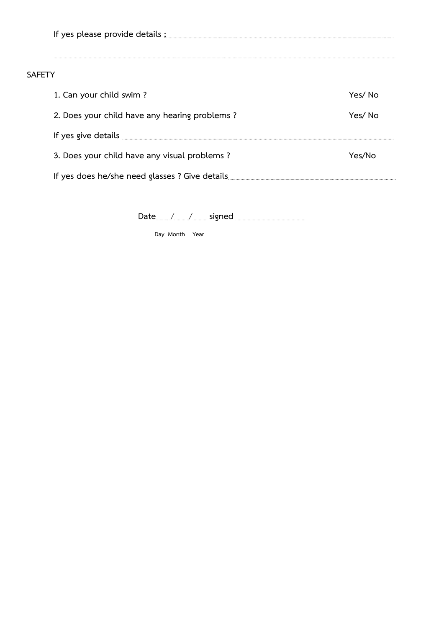**If yes please provide details ;**…..……………………………………………………………………..……………………………………..………..…………….……..………………

### **SAFETY**

| 1. Can your child swim?                        | Yes/ No |
|------------------------------------------------|---------|
| 2. Does your child have any hearing problems?  | Yes/ No |
| If yes give details                            |         |
| 3. Does your child have any visual problems?   | Yes/No  |
| If yes does he/she need glasses ? Give details |         |

…..………………………..…………….……..…………………………………………………………………………………………………………………………………………………..………………..……………..…………

**Date**……....../……....../………... **signed** ……….………......................……………

 **Day Month Year**